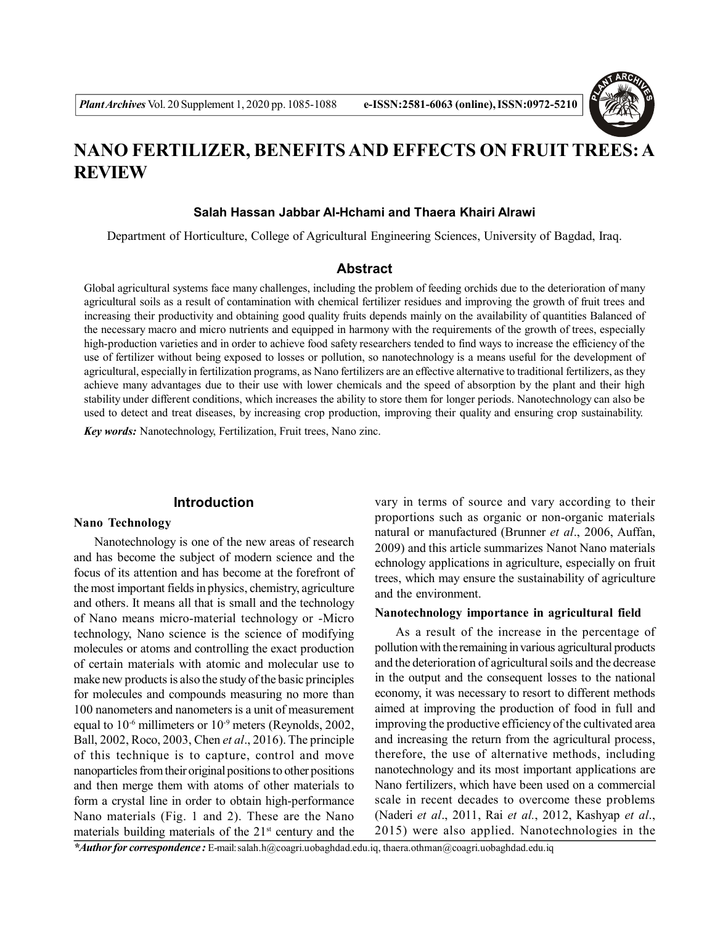

# **NANO FERTILIZER, BENEFITS AND EFFECTS ON FRUIT TREES: A REVIEW**

# **Salah Hassan Jabbar Al-Hchami and Thaera Khairi Alrawi**

Department of Horticulture, College of Agricultural Engineering Sciences, University of Bagdad, Iraq.

# **Abstract**

Global agricultural systems face many challenges, including the problem of feeding orchids due to the deterioration of many agricultural soils as a result of contamination with chemical fertilizer residues and improving the growth of fruit trees and increasing their productivity and obtaining good quality fruits depends mainly on the availability of quantities Balanced of the necessary macro and micro nutrients and equipped in harmony with the requirements of the growth of trees, especially high-production varieties and in order to achieve food safety researchers tended to find ways to increase the efficiency of the use of fertilizer without being exposed to losses or pollution, so nanotechnology is a means useful for the development of agricultural, especially in fertilization programs, as Nano fertilizers are an effective alternative to traditional fertilizers, as they achieve many advantages due to their use with lower chemicals and the speed of absorption by the plant and their high stability under different conditions, which increases the ability to store them for longer periods. Nanotechnology can also be used to detect and treat diseases, by increasing crop production, improving their quality and ensuring crop sustainability. *Key words:* Nanotechnology, Fertilization, Fruit trees, Nano zinc.

## **Introduction**

#### **Nano Technology**

Nanotechnology is one of the new areas of research and has become the subject of modern science and the focus of its attention and has become at the forefront of the most important fields in physics, chemistry, agriculture and others. It means all that is small and the technology of Nano means micro-material technology or -Micro technology, Nano science is the science of modifying molecules or atoms and controlling the exact production of certain materials with atomic and molecular use to make new products is also the study of the basic principles for molecules and compounds measuring no more than 100 nanometers and nanometers is a unit of measurement equal to 10-6 millimeters or 10-9 meters (Reynolds, 2002, Ball, 2002, Roco, 2003, Chen *et al*., 2016). The principle of this technique is to capture, control and move nanoparticles from their original positions to other positions and then merge them with atoms of other materials to form a crystal line in order to obtain high-performance Nano materials (Fig. 1 and 2). These are the Nano materials building materials of the  $21<sup>st</sup>$  century and the

vary in terms of source and vary according to their proportions such as organic or non-organic materials natural or manufactured (Brunner *et al*., 2006, Auffan, 2009) and this article summarizes Nanot Nano materials echnology applications in agriculture, especially on fruit trees, which may ensure the sustainability of agriculture and the environment.

#### **Nanotechnology importance in agricultural field**

As a result of the increase in the percentage of pollution with the remaining in various agricultural products and the deterioration of agricultural soils and the decrease in the output and the consequent losses to the national economy, it was necessary to resort to different methods aimed at improving the production of food in full and improving the productive efficiency of the cultivated area and increasing the return from the agricultural process, therefore, the use of alternative methods, including nanotechnology and its most important applications are Nano fertilizers, which have been used on a commercial scale in recent decades to overcome these problems (Naderi *et al*., 2011, Rai *et al.*, 2012, Kashyap *et al*., 2015) were also applied. Nanotechnologies in the

*\*Author for correspondence :* E-mail: salah.h@coagri.uobaghdad.edu.iq, thaera.othman@coagri.uobaghdad.edu.iq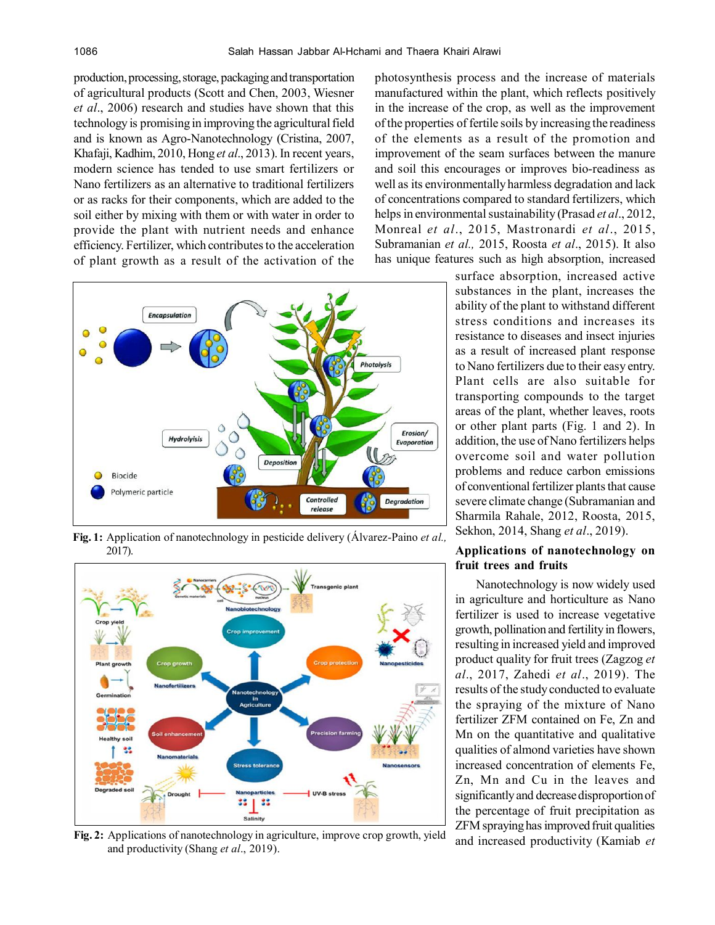production, processing, storage, packaging and transportation of agricultural products (Scott and Chen, 2003, Wiesner *et al*., 2006) research and studies have shown that this technology is promising in improving the agricultural field and is known as Agro-Nanotechnology (Cristina, 2007, Khafaji, Kadhim, 2010, Hong *et al*., 2013). In recent years, modern science has tended to use smart fertilizers or Nano fertilizers as an alternative to traditional fertilizers or as racks for their components, which are added to the soil either by mixing with them or with water in order to provide the plant with nutrient needs and enhance efficiency. Fertilizer, which contributes to the acceleration of plant growth as a result of the activation of the



**Fig. 1:** Application of nanotechnology in pesticide delivery (Álvarez-Paino *et al.,* 2017).



**Fig. 2:** Applications of nanotechnology in agriculture, improve crop growth, yield and productivity (Shang *et al*., 2019).

photosynthesis process and the increase of materials manufactured within the plant, which reflects positively in the increase of the crop, as well as the improvement of the properties of fertile soils by increasing the readiness of the elements as a result of the promotion and improvement of the seam surfaces between the manure and soil this encourages or improves bio-readiness as well as its environmentally harmless degradation and lack of concentrations compared to standard fertilizers, which helps in environmental sustainability (Prasad *et al*., 2012, Monreal *et al*., 2015, Mastronardi *et al*., 2015, Subramanian *et al.,* 2015, Roosta *et al*., 2015). It also has unique features such as high absorption, increased

> surface absorption, increased active substances in the plant, increases the ability of the plant to withstand different stress conditions and increases its resistance to diseases and insect injuries as a result of increased plant response to Nano fertilizers due to their easy entry. Plant cells are also suitable for transporting compounds to the target areas of the plant, whether leaves, roots or other plant parts (Fig. 1 and 2). In addition, the use of Nano fertilizers helps overcome soil and water pollution problems and reduce carbon emissions of conventional fertilizer plants that cause severe climate change (Subramanian and Sharmila Rahale, 2012, Roosta, 2015, Sekhon, 2014, Shang *et al*., 2019).

## **Applications of nanotechnology on fruit trees and fruits**

Nanotechnology is now widely used in agriculture and horticulture as Nano fertilizer is used to increase vegetative growth, pollination and fertility in flowers, resulting in increased yield and improved product quality for fruit trees (Zagzog *et al*., 2017, Zahedi *et al*., 2019). The results of the study conducted to evaluate the spraying of the mixture of Nano fertilizer ZFM contained on Fe, Zn and Mn on the quantitative and qualitative qualities of almond varieties have shown increased concentration of elements Fe, Zn, Mn and Cu in the leaves and significantly and decrease disproportion of the percentage of fruit precipitation as ZFM spraying has improved fruit qualities and increased productivity (Kamiab *et*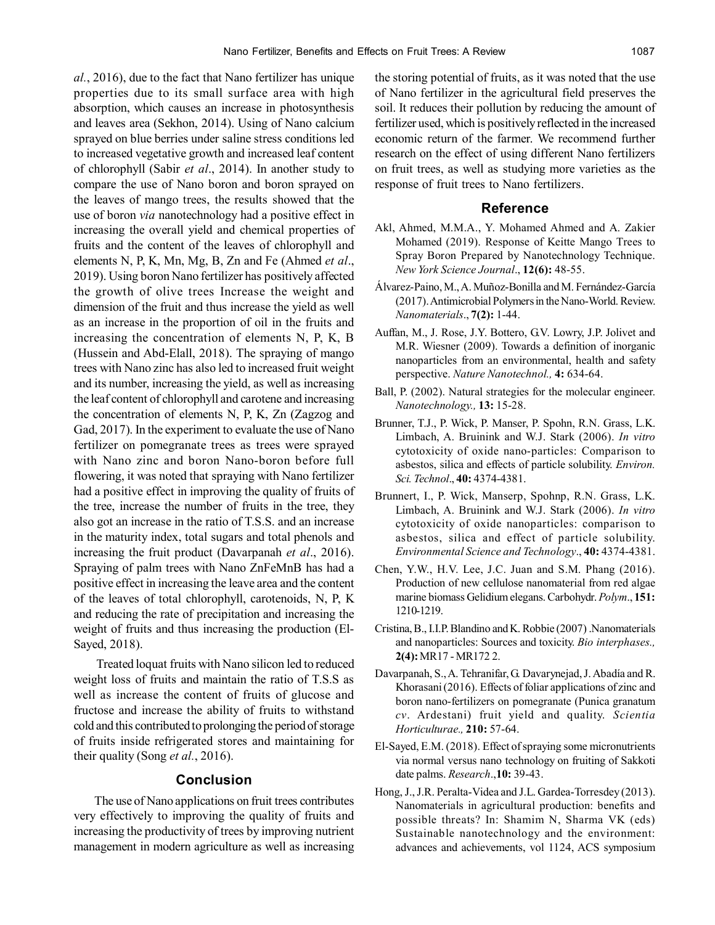*al.*, 2016), due to the fact that Nano fertilizer has unique properties due to its small surface area with high absorption, which causes an increase in photosynthesis and leaves area (Sekhon, 2014). Using of Nano calcium sprayed on blue berries under saline stress conditions led to increased vegetative growth and increased leaf content of chlorophyll (Sabir *et al*., 2014). In another study to compare the use of Nano boron and boron sprayed on the leaves of mango trees, the results showed that the use of boron *via* nanotechnology had a positive effect in increasing the overall yield and chemical properties of fruits and the content of the leaves of chlorophyll and elements N, P, K, Mn, Mg, B, Zn and Fe (Ahmed *et al*., 2019). Using boron Nano fertilizer has positively affected the growth of olive trees Increase the weight and dimension of the fruit and thus increase the yield as well as an increase in the proportion of oil in the fruits and increasing the concentration of elements N, P, K, B (Hussein and Abd-Elall, 2018). The spraying of mango trees with Nano zinc has also led to increased fruit weight and its number, increasing the yield, as well as increasing the leaf content of chlorophyll and carotene and increasing the concentration of elements N, P, K, Zn (Zagzog and Gad, 2017). In the experiment to evaluate the use of Nano fertilizer on pomegranate trees as trees were sprayed with Nano zinc and boron Nano-boron before full flowering, it was noted that spraying with Nano fertilizer had a positive effect in improving the quality of fruits of the tree, increase the number of fruits in the tree, they also got an increase in the ratio of T.S.S. and an increase in the maturity index, total sugars and total phenols and increasing the fruit product (Davarpanah *et al*., 2016). Spraying of palm trees with Nano ZnFeMnB has had a positive effect in increasing the leave area and the content of the leaves of total chlorophyll, carotenoids, N, P, K and reducing the rate of precipitation and increasing the weight of fruits and thus increasing the production (El-Sayed, 2018).

 Treated loquat fruits with Nano silicon led to reduced weight loss of fruits and maintain the ratio of T.S.S as well as increase the content of fruits of glucose and fructose and increase the ability of fruits to withstand cold and this contributed to prolonging the period of storage of fruits inside refrigerated stores and maintaining for their quality (Song *et al.*, 2016).

## **Conclusion**

The use of Nano applications on fruit trees contributes very effectively to improving the quality of fruits and increasing the productivity of trees by improving nutrient management in modern agriculture as well as increasing

the storing potential of fruits, as it was noted that the use of Nano fertilizer in the agricultural field preserves the soil. It reduces their pollution by reducing the amount of fertilizer used, which is positively reflected in the increased economic return of the farmer. We recommend further research on the effect of using different Nano fertilizers on fruit trees, as well as studying more varieties as the response of fruit trees to Nano fertilizers.

## **Reference**

- Akl, Ahmed, M.M.A., Y. Mohamed Ahmed and A. Zakier Mohamed (2019). Response of Keitte Mango Trees to Spray Boron Prepared by Nanotechnology Technique. *New York Science Journal*., **12(6):** 48-55.
- Álvarez-Paino, M., A. Muñoz-Bonilla and M. Fernández-García (2017).Antimicrobial Polymers in the Nano-World. Review. *Nanomaterials*., **7(2):** 1-44.
- Auffan, M., J. Rose, J.Y. Bottero, G.V. Lowry, J.P. Jolivet and M.R. Wiesner (2009). Towards a definition of inorganic nanoparticles from an environmental, health and safety perspective. *Nature Nanotechnol.,* **4:** 634-64.
- Ball, P. (2002). Natural strategies for the molecular engineer. *Nanotechnology.,* **13:** 15-28.
- Brunner, T.J., P. Wick, P. Manser, P. Spohn, R.N. Grass, L.K. Limbach, A. Bruinink and W.J. Stark (2006). *In vitro* cytotoxicity of oxide nano-particles: Comparison to asbestos, silica and effects of particle solubility. *Environ. Sci. Technol*., **40:** 4374-4381.
- Brunnert, I., P. Wick, Manserp, Spohnp, R.N. Grass, L.K. Limbach, A. Bruinink and W.J. Stark (2006). *In vitro* cytotoxicity of oxide nanoparticles: comparison to asbestos, silica and effect of particle solubility. *Environmental Science and Technology*., **40:** 4374-4381.
- Chen, Y.W., H.V. Lee, J.C. Juan and S.M. Phang (2016). Production of new cellulose nanomaterial from red algae marine biomass Gelidium elegans. Carbohydr. *Polym*., **151:** 1210-1219.
- Cristina, B., I.I.P. Blandino and K. Robbie (2007) .Nanomaterials and nanoparticles: Sources and toxicity. *Bio interphases.,* **2(4):** MR17 - MR172 2.
- Davarpanah, S., A. Tehranifar, G. Davarynejad, J. Abadía and R. Khorasani (2016). Effects of foliar applications of zinc and boron nano-fertilizers on pomegranate (Punica granatum *cv*. Ardestani) fruit yield and quality. *Scientia Horticulturae.,* **210:** 57-64.
- El-Sayed, E.M. (2018). Effect of spraying some micronutrients via normal versus nano technology on fruiting of Sakkoti date palms. *Research*.,**10:** 39-43.
- Hong, J., J.R. Peralta-Videa and J.L. Gardea-Torresdey (2013). Nanomaterials in agricultural production: benefits and possible threats? In: Shamim N, Sharma VK (eds) Sustainable nanotechnology and the environment: advances and achievements, vol 1124, ACS symposium